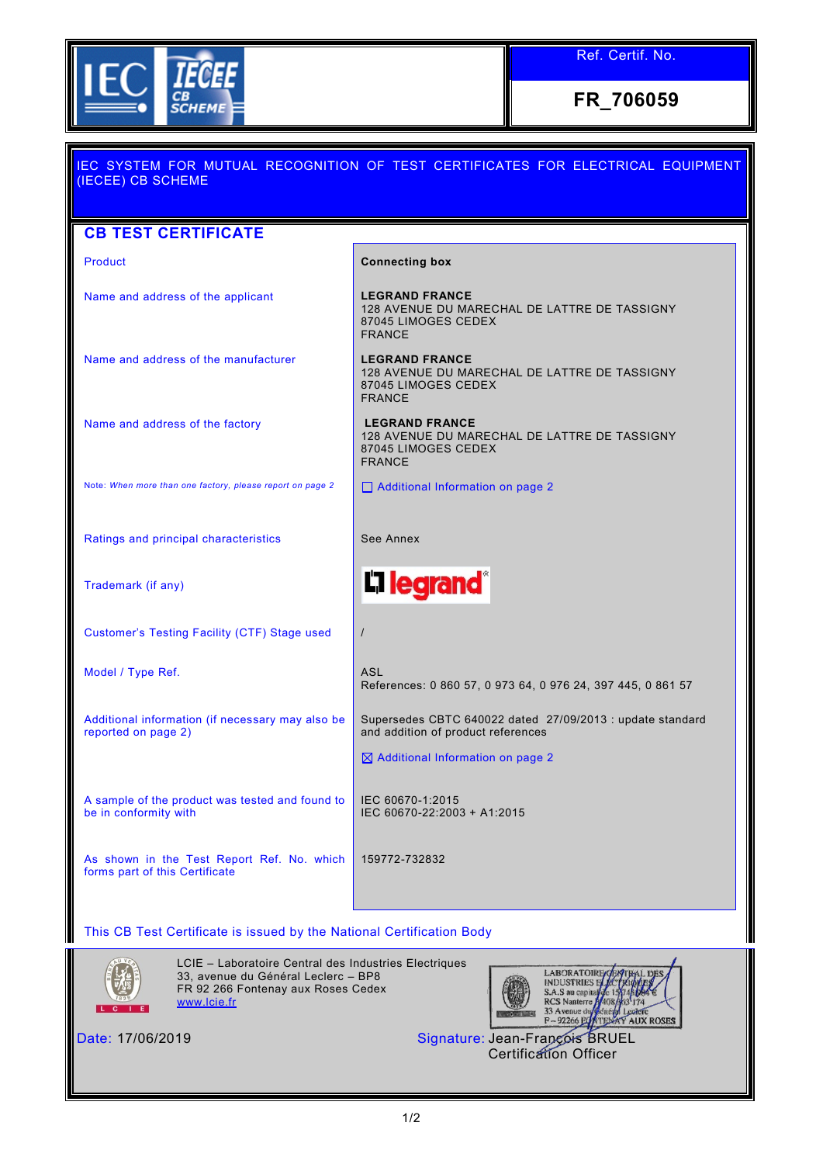

Ref. Certif. No.

**FR\_706059**

| IEC SYSTEM FOR MUTUAL RECOGNITION OF TEST CERTIFICATES FOR ELECTRICAL EQUIPMENT<br>(IECEE) CB SCHEME |                                                                                                               |  |  |  |
|------------------------------------------------------------------------------------------------------|---------------------------------------------------------------------------------------------------------------|--|--|--|
|                                                                                                      |                                                                                                               |  |  |  |
| <b>CB TEST CERTIFICATE</b>                                                                           |                                                                                                               |  |  |  |
| <b>Product</b>                                                                                       | <b>Connecting box</b>                                                                                         |  |  |  |
| Name and address of the applicant                                                                    | <b>LEGRAND FRANCE</b><br>128 AVENUE DU MARECHAL DE LATTRE DE TASSIGNY<br>87045 LIMOGES CEDEX<br><b>FRANCE</b> |  |  |  |
| Name and address of the manufacturer                                                                 | <b>LEGRAND FRANCE</b><br>128 AVENUE DU MARECHAL DE LATTRE DE TASSIGNY<br>87045 LIMOGES CEDEX<br><b>FRANCE</b> |  |  |  |
| Name and address of the factory                                                                      | <b>LEGRAND FRANCE</b><br>128 AVENUE DU MARECHAL DE LATTRE DE TASSIGNY<br>87045 LIMOGES CEDEX<br><b>FRANCE</b> |  |  |  |
| Note: When more than one factory, please report on page 2                                            | $\Box$ Additional Information on page 2                                                                       |  |  |  |
| Ratings and principal characteristics                                                                | See Annex                                                                                                     |  |  |  |
| Trademark (if any)                                                                                   | <b>L1 legrand</b> ®                                                                                           |  |  |  |
| Customer's Testing Facility (CTF) Stage used                                                         | $\prime$                                                                                                      |  |  |  |
| Model / Type Ref.                                                                                    | <b>ASL</b><br>References: 0 860 57, 0 973 64, 0 976 24, 397 445, 0 861 57                                     |  |  |  |
| Additional information (if necessary may also be<br>reported on page 2)                              | Supersedes CBTC 640022 dated 27/09/2013 : update standard<br>and addition of product references               |  |  |  |
|                                                                                                      | $\boxtimes$ Additional Information on page 2                                                                  |  |  |  |
| A sample of the product was tested and found to<br>be in conformity with                             | IEC 60670-1:2015<br>IEC 60670-22:2003 + A1:2015                                                               |  |  |  |
| As shown in the Test Report Ref. No. which<br>forms part of this Certificate                         | 159772-732832                                                                                                 |  |  |  |
| This CB Test Certificate is issued by the National Certification Body                                |                                                                                                               |  |  |  |



LCIE – Laboratoire Central des Industries Electriques 33, avenue du Général Leclerc – BP8 FR 92 266 Fontenay aux Roses Cedex [www.lcie.fr](http://www.lcie.fr/)



Date: 17/06/2019 Signature: Jean-François BRUEL Certification Officer